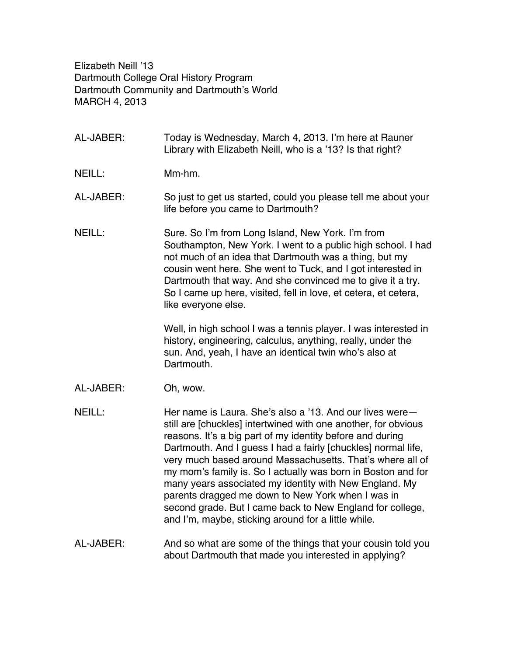Elizabeth Neill '13 Dartmouth College Oral History Program Dartmouth Community and Dartmouth's World MARCH 4, 2013

- AL-JABER: Today is Wednesday, March 4, 2013. I'm here at Rauner Library with Elizabeth Neill, who is a '13? Is that right?
- NEILL: Mm-hm
- AL-JABER: So just to get us started, could you please tell me about your life before you came to Dartmouth?
- NEILL: Sure. So I'm from Long Island, New York. I'm from Southampton, New York. I went to a public high school. I had not much of an idea that Dartmouth was a thing, but my cousin went here. She went to Tuck, and I got interested in Dartmouth that way. And she convinced me to give it a try. So I came up here, visited, fell in love, et cetera, et cetera, like everyone else.

Well, in high school I was a tennis player. I was interested in history, engineering, calculus, anything, really, under the sun. And, yeah, I have an identical twin who's also at Dartmouth.

- AL-JABER: Oh, wow.
- NEILL: Her name is Laura. She's also a '13. And our lives were still are [chuckles] intertwined with one another, for obvious reasons. It's a big part of my identity before and during Dartmouth. And I guess I had a fairly [chuckles] normal life, very much based around Massachusetts. That's where all of my mom's family is. So I actually was born in Boston and for many years associated my identity with New England. My parents dragged me down to New York when I was in second grade. But I came back to New England for college, and I'm, maybe, sticking around for a little while.
- AL-JABER: And so what are some of the things that your cousin told you about Dartmouth that made you interested in applying?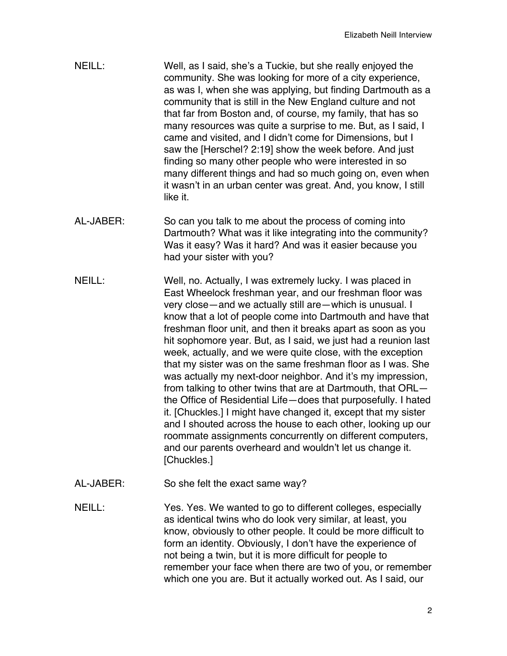- NEILL: Well, as I said, she's a Tuckie, but she really enjoyed the community. She was looking for more of a city experience, as was I, when she was applying, but finding Dartmouth as a community that is still in the New England culture and not that far from Boston and, of course, my family, that has so many resources was quite a surprise to me. But, as I said, I came and visited, and I didn't come for Dimensions, but I saw the [Herschel? 2:19] show the week before. And just finding so many other people who were interested in so many different things and had so much going on, even when it wasn't in an urban center was great. And, you know, I still like it.
- AL-JABER: So can you talk to me about the process of coming into Dartmouth? What was it like integrating into the community? Was it easy? Was it hard? And was it easier because you had your sister with you?
- NEILL: Well, no. Actually, I was extremely lucky. I was placed in East Wheelock freshman year, and our freshman floor was very close—and we actually still are—which is unusual. I know that a lot of people come into Dartmouth and have that freshman floor unit, and then it breaks apart as soon as you hit sophomore year. But, as I said, we just had a reunion last week, actually, and we were quite close, with the exception that my sister was on the same freshman floor as I was. She was actually my next-door neighbor. And it's my impression, from talking to other twins that are at Dartmouth, that ORL the Office of Residential Life—does that purposefully. I hated it. [Chuckles.] I might have changed it, except that my sister and I shouted across the house to each other, looking up our roommate assignments concurrently on different computers, and our parents overheard and wouldn't let us change it. [Chuckles.]
- AL-JABER: So she felt the exact same way?
- NEILL: Yes. Yes. We wanted to go to different colleges, especially as identical twins who do look very similar, at least, you know, obviously to other people. It could be more difficult to form an identity. Obviously, I don't have the experience of not being a twin, but it is more difficult for people to remember your face when there are two of you, or remember which one you are. But it actually worked out. As I said, our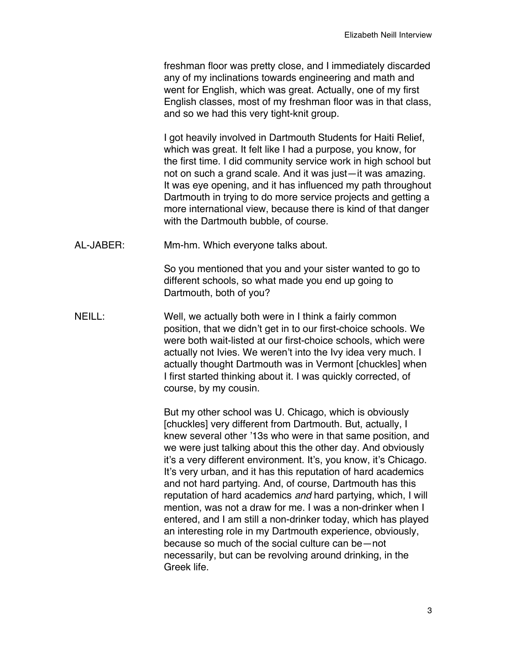freshman floor was pretty close, and I immediately discarded any of my inclinations towards engineering and math and went for English, which was great. Actually, one of my first English classes, most of my freshman floor was in that class, and so we had this very tight-knit group.

I got heavily involved in Dartmouth Students for Haiti Relief, which was great. It felt like I had a purpose, you know, for the first time. I did community service work in high school but not on such a grand scale. And it was just—it was amazing. It was eye opening, and it has influenced my path throughout Dartmouth in trying to do more service projects and getting a more international view, because there is kind of that danger with the Dartmouth bubble, of course.

AL-JABER: Mm-hm. Which everyone talks about.

So you mentioned that you and your sister wanted to go to different schools, so what made you end up going to Dartmouth, both of you?

NEILL: Well, we actually both were in I think a fairly common position, that we didn't get in to our first-choice schools. We were both wait-listed at our first-choice schools, which were actually not Ivies. We weren't into the Ivy idea very much. I actually thought Dartmouth was in Vermont [chuckles] when I first started thinking about it. I was quickly corrected, of course, by my cousin.

> But my other school was U. Chicago, which is obviously [chuckles] very different from Dartmouth. But, actually, I knew several other '13s who were in that same position, and we were just talking about this the other day. And obviously it's a very different environment. It's, you know, it's Chicago. It's very urban, and it has this reputation of hard academics and not hard partying. And, of course, Dartmouth has this reputation of hard academics *and* hard partying, which, I will mention, was not a draw for me. I was a non-drinker when I entered, and I am still a non-drinker today, which has played an interesting role in my Dartmouth experience, obviously, because so much of the social culture can be—not necessarily, but can be revolving around drinking, in the Greek life.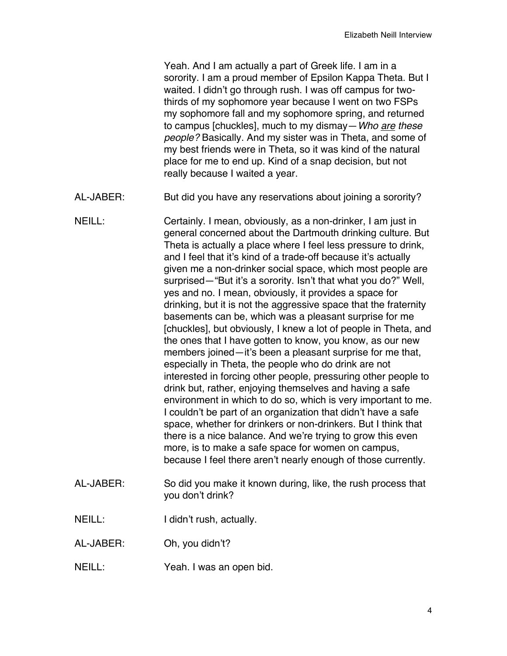Yeah. And I am actually a part of Greek life. I am in a sorority. I am a proud member of Epsilon Kappa Theta. But I waited. I didn't go through rush. I was off campus for twothirds of my sophomore year because I went on two FSPs my sophomore fall and my sophomore spring, and returned to campus [chuckles], much to my dismay—*Who are these people?* Basically. And my sister was in Theta, and some of my best friends were in Theta, so it was kind of the natural place for me to end up. Kind of a snap decision, but not really because I waited a year.

- AL-JABER: But did you have any reservations about joining a sorority?
- NEILL: Certainly. I mean, obviously, as a non-drinker, I am just in general concerned about the Dartmouth drinking culture. But Theta is actually a place where I feel less pressure to drink, and I feel that it's kind of a trade-off because it's actually given me a non-drinker social space, which most people are surprised—"But it's a sorority. Isn't that what you do?" Well, yes and no. I mean, obviously, it provides a space for drinking, but it is not the aggressive space that the fraternity basements can be, which was a pleasant surprise for me [chuckles], but obviously, I knew a lot of people in Theta, and the ones that I have gotten to know, you know, as our new members joined—it's been a pleasant surprise for me that, especially in Theta, the people who do drink are not interested in forcing other people, pressuring other people to drink but, rather, enjoying themselves and having a safe environment in which to do so, which is very important to me. I couldn't be part of an organization that didn't have a safe space, whether for drinkers or non-drinkers. But I think that there is a nice balance. And we're trying to grow this even more, is to make a safe space for women on campus, because I feel there aren't nearly enough of those currently.
- AL-JABER: So did you make it known during, like, the rush process that you don't drink?
- NEILL: I didn't rush, actually.
- AL-JABER: Oh, you didn't?
- NEILL: Yeah. I was an open bid.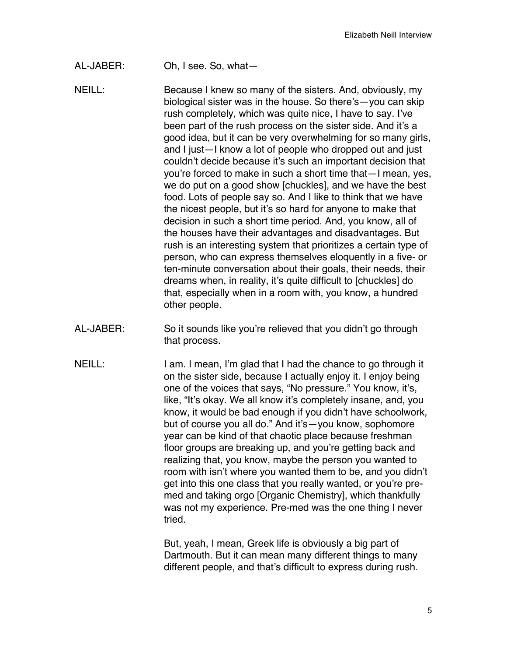- AL-JABER: Oh, I see. So, what—
- NEILL: Because I knew so many of the sisters. And, obviously, my biological sister was in the house. So there's—you can skip rush completely, which was quite nice, I have to say. I've been part of the rush process on the sister side. And it's a good idea, but it can be very overwhelming for so many girls, and I just—I know a lot of people who dropped out and just couldn't decide because it's such an important decision that you're forced to make in such a short time that—I mean, yes, we do put on a good show [chuckles], and we have the best food. Lots of people say so. And I like to think that we have the nicest people, but it's so hard for anyone to make that decision in such a short time period. And, you know, all of the houses have their advantages and disadvantages. But rush is an interesting system that prioritizes a certain type of person, who can express themselves eloquently in a five- or ten-minute conversation about their goals, their needs, their dreams when, in reality, it's quite difficult to [chuckles] do that, especially when in a room with, you know, a hundred other people.
- AL-JABER: So it sounds like you're relieved that you didn't go through that process.
- NEILL: I am. I mean, I'm glad that I had the chance to go through it on the sister side, because I actually enjoy it. I enjoy being one of the voices that says, "No pressure." You know, it's, like, "It's okay. We all know it's completely insane, and, you know, it would be bad enough if you didn't have schoolwork, but of course you all do." And it's—you know, sophomore year can be kind of that chaotic place because freshman floor groups are breaking up, and you're getting back and realizing that, you know, maybe the person you wanted to room with isn't where you wanted them to be, and you didn't get into this one class that you really wanted, or you're premed and taking orgo [Organic Chemistry], which thankfully was not my experience. Pre-med was the one thing I never tried.

But, yeah, I mean, Greek life is obviously a big part of Dartmouth. But it can mean many different things to many different people, and that's difficult to express during rush.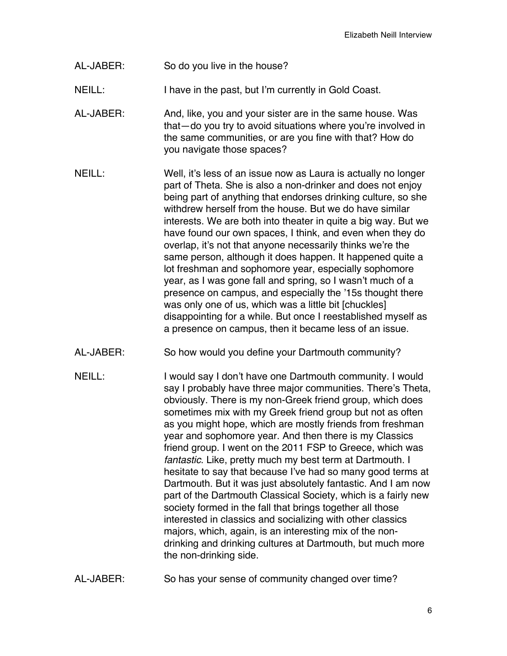- AL-JABER: So do you live in the house?
- NEILL: I have in the past, but I'm currently in Gold Coast.
- AL-JABER: And, like, you and your sister are in the same house. Was that—do you try to avoid situations where you're involved in the same communities, or are you fine with that? How do you navigate those spaces?
- NEILL: Well, it's less of an issue now as Laura is actually no longer part of Theta. She is also a non-drinker and does not enjoy being part of anything that endorses drinking culture, so she withdrew herself from the house. But we do have similar interests. We are both into theater in quite a big way. But we have found our own spaces, I think, and even when they do overlap, it's not that anyone necessarily thinks we're the same person, although it does happen. It happened quite a lot freshman and sophomore year, especially sophomore year, as I was gone fall and spring, so I wasn't much of a presence on campus, and especially the '15s thought there was only one of us, which was a little bit [chuckles] disappointing for a while. But once I reestablished myself as a presence on campus, then it became less of an issue.
- AL-JABER: So how would you define your Dartmouth community?
- NEILL: I would say I don't have one Dartmouth community. I would say I probably have three major communities. There's Theta, obviously. There is my non-Greek friend group, which does sometimes mix with my Greek friend group but not as often as you might hope, which are mostly friends from freshman year and sophomore year. And then there is my Classics friend group. I went on the 2011 FSP to Greece, which was *fantastic*. Like, pretty much my best term at Dartmouth. I hesitate to say that because I've had so many good terms at Dartmouth. But it was just absolutely fantastic. And I am now part of the Dartmouth Classical Society, which is a fairly new society formed in the fall that brings together all those interested in classics and socializing with other classics majors, which, again, is an interesting mix of the nondrinking and drinking cultures at Dartmouth, but much more the non-drinking side.
- AL-JABER: So has your sense of community changed over time?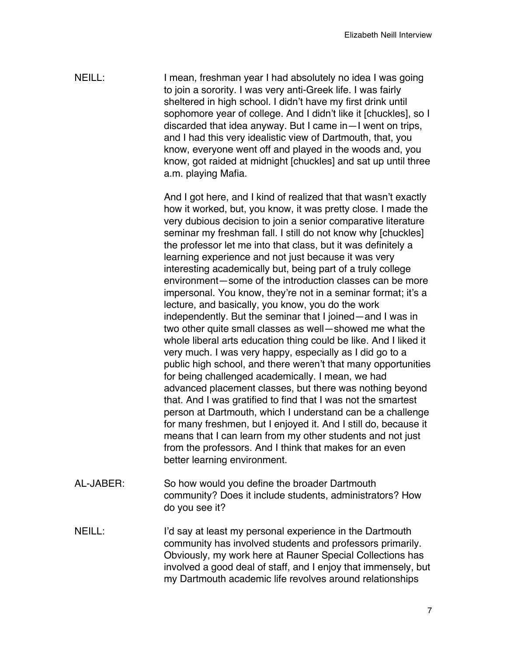NEILL: I mean, freshman year I had absolutely no idea I was going to join a sorority. I was very anti-Greek life. I was fairly sheltered in high school. I didn't have my first drink until sophomore year of college. And I didn't like it [chuckles], so I discarded that idea anyway. But I came in—I went on trips, and I had this very idealistic view of Dartmouth, that, you know, everyone went off and played in the woods and, you know, got raided at midnight [chuckles] and sat up until three a.m. playing Mafia.

> And I got here, and I kind of realized that that wasn't exactly how it worked, but, you know, it was pretty close. I made the very dubious decision to join a senior comparative literature seminar my freshman fall. I still do not know why [chuckles] the professor let me into that class, but it was definitely a learning experience and not just because it was very interesting academically but, being part of a truly college environment—some of the introduction classes can be more impersonal. You know, they're not in a seminar format; it's a lecture, and basically, you know, you do the work independently. But the seminar that I joined—and I was in two other quite small classes as well—showed me what the whole liberal arts education thing could be like. And I liked it very much. I was very happy, especially as I did go to a public high school, and there weren't that many opportunities for being challenged academically. I mean, we had advanced placement classes, but there was nothing beyond that. And I was gratified to find that I was not the smartest person at Dartmouth, which I understand can be a challenge for many freshmen, but I enjoyed it. And I still do, because it means that I can learn from my other students and not just from the professors. And I think that makes for an even better learning environment.

- AL-JABER: So how would you define the broader Dartmouth community? Does it include students, administrators? How do you see it?
- NEILL: I'd say at least my personal experience in the Dartmouth community has involved students and professors primarily. Obviously, my work here at Rauner Special Collections has involved a good deal of staff, and I enjoy that immensely, but my Dartmouth academic life revolves around relationships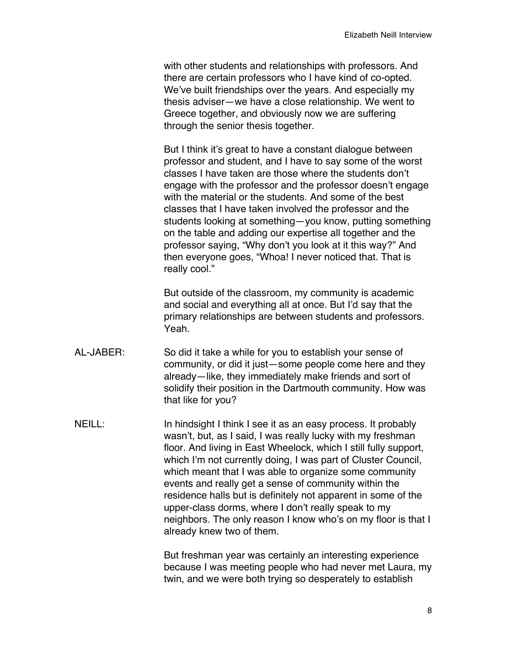with other students and relationships with professors. And there are certain professors who I have kind of co-opted. We've built friendships over the years. And especially my thesis adviser—we have a close relationship. We went to Greece together, and obviously now we are suffering through the senior thesis together.

But I think it's great to have a constant dialogue between professor and student, and I have to say some of the worst classes I have taken are those where the students don't engage with the professor and the professor doesn't engage with the material or the students. And some of the best classes that I have taken involved the professor and the students looking at something—you know, putting something on the table and adding our expertise all together and the professor saying, "Why don't you look at it this way?" And then everyone goes, "Whoa! I never noticed that. That is really cool."

But outside of the classroom, my community is academic and social and everything all at once. But I'd say that the primary relationships are between students and professors. Yeah.

- AL-JABER: So did it take a while for you to establish your sense of community, or did it just—some people come here and they already—like, they immediately make friends and sort of solidify their position in the Dartmouth community. How was that like for you?
- NEILL: In hindsight I think I see it as an easy process. It probably wasn't, but, as I said, I was really lucky with my freshman floor. And living in East Wheelock, which I still fully support, which I'm not currently doing, I was part of Cluster Council, which meant that I was able to organize some community events and really get a sense of community within the residence halls but is definitely not apparent in some of the upper-class dorms, where I don't really speak to my neighbors. The only reason I know who's on my floor is that I already knew two of them.

But freshman year was certainly an interesting experience because I was meeting people who had never met Laura, my twin, and we were both trying so desperately to establish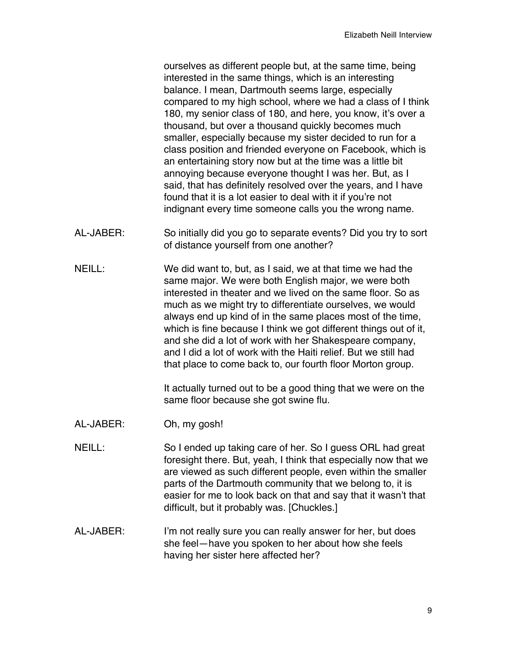ourselves as different people but, at the same time, being interested in the same things, which is an interesting balance. I mean, Dartmouth seems large, especially compared to my high school, where we had a class of I think 180, my senior class of 180, and here, you know, it's over a thousand, but over a thousand quickly becomes much smaller, especially because my sister decided to run for a class position and friended everyone on Facebook, which is an entertaining story now but at the time was a little bit annoying because everyone thought I was her. But, as I said, that has definitely resolved over the years, and I have found that it is a lot easier to deal with it if you're not indignant every time someone calls you the wrong name.

- AL-JABER: So initially did you go to separate events? Did you try to sort of distance yourself from one another?
- NEILL: We did want to, but, as I said, we at that time we had the same major. We were both English major, we were both interested in theater and we lived on the same floor. So as much as we might try to differentiate ourselves, we would always end up kind of in the same places most of the time, which is fine because I think we got different things out of it, and she did a lot of work with her Shakespeare company, and I did a lot of work with the Haiti relief. But we still had that place to come back to, our fourth floor Morton group.

It actually turned out to be a good thing that we were on the same floor because she got swine flu.

- AL-JABER: Oh, my gosh!
- NEILL: So I ended up taking care of her. So I guess ORL had great foresight there. But, yeah, I think that especially now that we are viewed as such different people, even within the smaller parts of the Dartmouth community that we belong to, it is easier for me to look back on that and say that it wasn't that difficult, but it probably was. [Chuckles.]
- AL-JABER: I'm not really sure you can really answer for her, but does she feel—have you spoken to her about how she feels having her sister here affected her?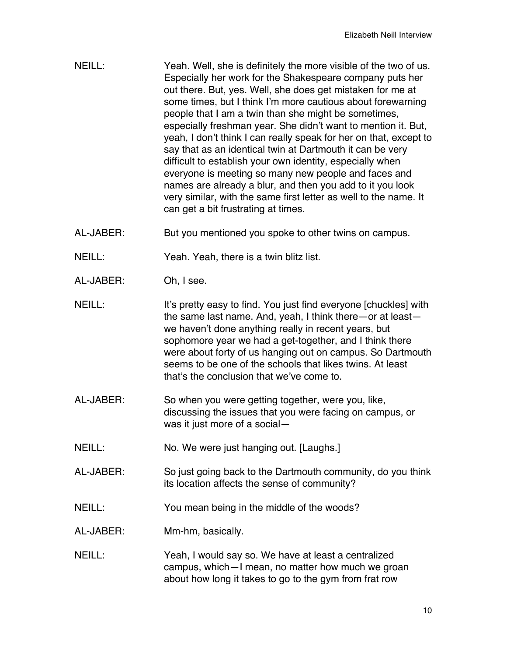- NEILL: Yeah. Well, she is definitely the more visible of the two of us. Especially her work for the Shakespeare company puts her out there. But, yes. Well, she does get mistaken for me at some times, but I think I'm more cautious about forewarning people that I am a twin than she might be sometimes, especially freshman year. She didn't want to mention it. But, yeah, I don't think I can really speak for her on that, except to say that as an identical twin at Dartmouth it can be very difficult to establish your own identity, especially when everyone is meeting so many new people and faces and names are already a blur, and then you add to it you look very similar, with the same first letter as well to the name. It can get a bit frustrating at times.
- AL-JABER: But you mentioned you spoke to other twins on campus.
- NEILL: Yeah. Yeah, there is a twin blitz list.
- AL-JABER: Oh, I see.
- NEILL: It's pretty easy to find. You just find everyone [chuckles] with the same last name. And, yeah, I think there—or at least we haven't done anything really in recent years, but sophomore year we had a get-together, and I think there were about forty of us hanging out on campus. So Dartmouth seems to be one of the schools that likes twins. At least that's the conclusion that we've come to.
- AL-JABER: So when you were getting together, were you, like, discussing the issues that you were facing on campus, or was it just more of a social—
- NEILL: No. We were just hanging out. [Laughs.]
- AL-JABER: So just going back to the Dartmouth community, do you think its location affects the sense of community?
- NEILL: You mean being in the middle of the woods?
- AL-JABER: Mm-hm, basically.
- NEILL: Yeah, I would say so. We have at least a centralized campus, which—I mean, no matter how much we groan about how long it takes to go to the gym from frat row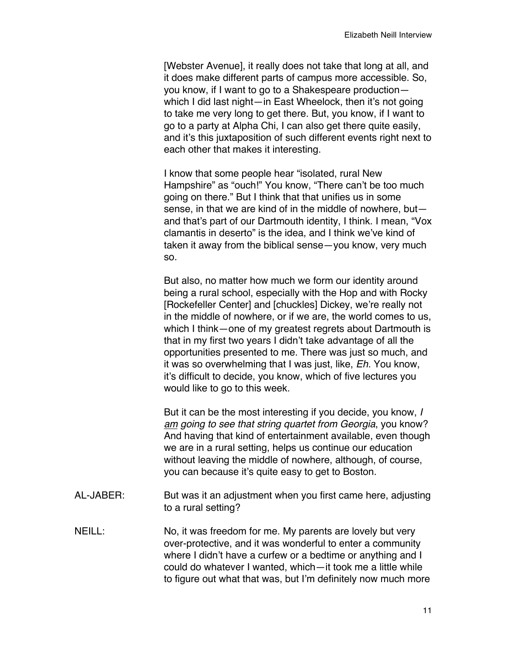[Webster Avenue], it really does not take that long at all, and it does make different parts of campus more accessible. So, you know, if I want to go to a Shakespeare production which I did last night—in East Wheelock, then it's not going to take me very long to get there. But, you know, if I want to go to a party at Alpha Chi, I can also get there quite easily, and it's this juxtaposition of such different events right next to each other that makes it interesting.

I know that some people hear "isolated, rural New Hampshire" as "ouch!" You know, "There can't be too much going on there." But I think that that unifies us in some sense, in that we are kind of in the middle of nowhere, but and that's part of our Dartmouth identity, I think. I mean, "Vox clamantis in deserto" is the idea, and I think we've kind of taken it away from the biblical sense—you know, very much so.

But also, no matter how much we form our identity around being a rural school, especially with the Hop and with Rocky [Rockefeller Center] and [chuckles] Dickey, we're really not in the middle of nowhere, or if we are, the world comes to us, which I think—one of my greatest regrets about Dartmouth is that in my first two years I didn't take advantage of all the opportunities presented to me. There was just so much, and it was so overwhelming that I was just, like, *Eh.* You know, it's difficult to decide, you know, which of five lectures you would like to go to this week.

But it can be the most interesting if you decide, you know, *I am going to see that string quartet from Georgia*, you know? And having that kind of entertainment available, even though we are in a rural setting, helps us continue our education without leaving the middle of nowhere, although, of course, you can because it's quite easy to get to Boston.

- AL-JABER: But was it an adjustment when you first came here, adjusting to a rural setting?
- NEILL: No, it was freedom for me. My parents are lovely but very over-protective, and it was wonderful to enter a community where I didn't have a curfew or a bedtime or anything and I could do whatever I wanted, which—it took me a little while to figure out what that was, but I'm definitely now much more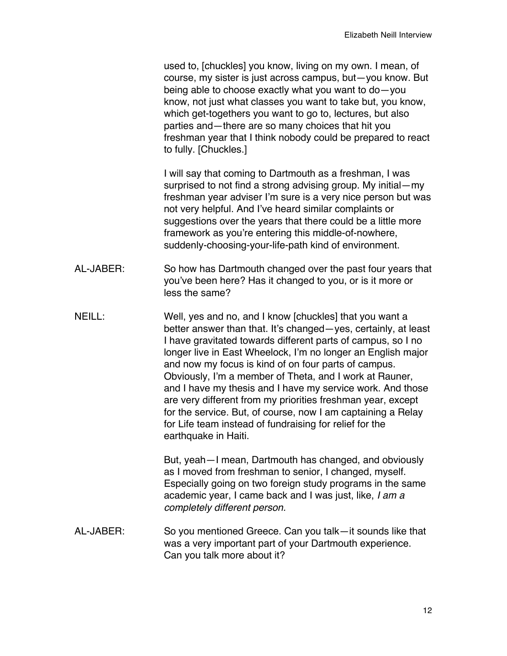used to, [chuckles] you know, living on my own. I mean, of course, my sister is just across campus, but—you know. But being able to choose exactly what you want to do—you know, not just what classes you want to take but, you know, which get-togethers you want to go to, lectures, but also parties and—there are so many choices that hit you freshman year that I think nobody could be prepared to react to fully. [Chuckles.]

I will say that coming to Dartmouth as a freshman, I was surprised to not find a strong advising group. My initial—my freshman year adviser I'm sure is a very nice person but was not very helpful. And I've heard similar complaints or suggestions over the years that there could be a little more framework as you're entering this middle-of-nowhere, suddenly-choosing-your-life-path kind of environment.

- AL-JABER: So how has Dartmouth changed over the past four years that you've been here? Has it changed to you, or is it more or less the same?
- NEILL: Well, yes and no, and I know [chuckles] that you want a better answer than that. It's changed—yes, certainly, at least I have gravitated towards different parts of campus, so I no longer live in East Wheelock, I'm no longer an English major and now my focus is kind of on four parts of campus. Obviously, I'm a member of Theta, and I work at Rauner, and I have my thesis and I have my service work. And those are very different from my priorities freshman year, except for the service. But, of course, now I am captaining a Relay for Life team instead of fundraising for relief for the earthquake in Haiti.

But, yeah—I mean, Dartmouth has changed, and obviously as I moved from freshman to senior, I changed, myself. Especially going on two foreign study programs in the same academic year, I came back and I was just, like, *I am a completely different person.*

AL-JABER: So you mentioned Greece. Can you talk—it sounds like that was a very important part of your Dartmouth experience. Can you talk more about it?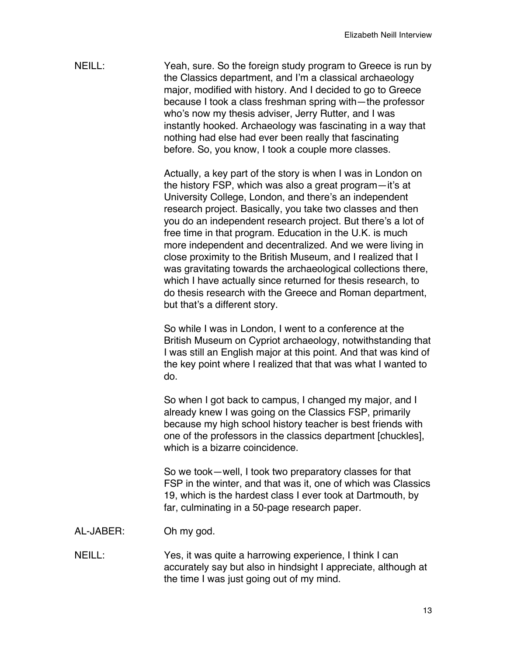NEILL: Yeah, sure. So the foreign study program to Greece is run by the Classics department, and I'm a classical archaeology major, modified with history. And I decided to go to Greece because I took a class freshman spring with—the professor who's now my thesis adviser, Jerry Rutter, and I was instantly hooked. Archaeology was fascinating in a way that nothing had else had ever been really that fascinating before. So, you know, I took a couple more classes.

> Actually, a key part of the story is when I was in London on the history FSP, which was also a great program—it's at University College, London, and there's an independent research project. Basically, you take two classes and then you do an independent research project. But there's a lot of free time in that program. Education in the U.K. is much more independent and decentralized. And we were living in close proximity to the British Museum, and I realized that I was gravitating towards the archaeological collections there, which I have actually since returned for thesis research, to do thesis research with the Greece and Roman department, but that's a different story.

So while I was in London, I went to a conference at the British Museum on Cypriot archaeology, notwithstanding that I was still an English major at this point. And that was kind of the key point where I realized that that was what I wanted to do.

So when I got back to campus, I changed my major, and I already knew I was going on the Classics FSP, primarily because my high school history teacher is best friends with one of the professors in the classics department [chuckles], which is a bizarre coincidence.

So we took—well, I took two preparatory classes for that FSP in the winter, and that was it, one of which was Classics 19, which is the hardest class I ever took at Dartmouth, by far, culminating in a 50-page research paper.

- AL-JABER: Oh my god.
- NEILL: Yes, it was quite a harrowing experience, I think I can accurately say but also in hindsight I appreciate, although at the time I was just going out of my mind.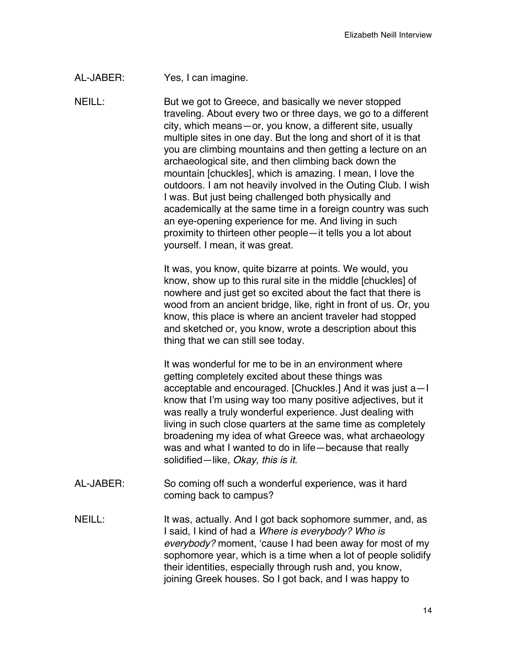AL-JABER: Yes, I can imagine.

NEILL: But we got to Greece, and basically we never stopped traveling. About every two or three days, we go to a different city, which means—or, you know, a different site, usually multiple sites in one day. But the long and short of it is that you are climbing mountains and then getting a lecture on an archaeological site, and then climbing back down the mountain [chuckles], which is amazing. I mean, I love the outdoors. I am not heavily involved in the Outing Club. I wish I was. But just being challenged both physically and academically at the same time in a foreign country was such an eye-opening experience for me. And living in such proximity to thirteen other people—it tells you a lot about yourself. I mean, it was great.

> It was, you know, quite bizarre at points. We would, you know, show up to this rural site in the middle [chuckles] of nowhere and just get so excited about the fact that there is wood from an ancient bridge, like, right in front of us. Or, you know, this place is where an ancient traveler had stopped and sketched or, you know, wrote a description about this thing that we can still see today.

> It was wonderful for me to be in an environment where getting completely excited about these things was acceptable and encouraged. [Chuckles.] And it was just a—I know that I'm using way too many positive adjectives, but it was really a truly wonderful experience. Just dealing with living in such close quarters at the same time as completely broadening my idea of what Greece was, what archaeology was and what I wanted to do in life—because that really solidified—like, *Okay, this is it*.

- AL-JABER: So coming off such a wonderful experience, was it hard coming back to campus?
- NEILL: It was, actually. And I got back sophomore summer, and, as I said, I kind of had a *Where is everybody? Who is everybody?* moment, 'cause I had been away for most of my sophomore year, which is a time when a lot of people solidify their identities, especially through rush and, you know, joining Greek houses. So I got back, and I was happy to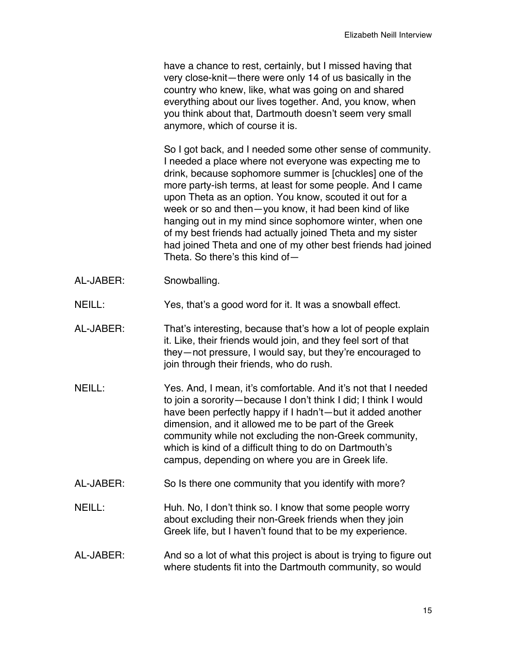have a chance to rest, certainly, but I missed having that very close-knit—there were only 14 of us basically in the country who knew, like, what was going on and shared everything about our lives together. And, you know, when you think about that, Dartmouth doesn't seem very small anymore, which of course it is.

So I got back, and I needed some other sense of community. I needed a place where not everyone was expecting me to drink, because sophomore summer is [chuckles] one of the more party-ish terms, at least for some people. And I came upon Theta as an option. You know, scouted it out for a week or so and then—you know, it had been kind of like hanging out in my mind since sophomore winter, when one of my best friends had actually joined Theta and my sister had joined Theta and one of my other best friends had joined Theta. So there's this kind of—

- AL-JABER: Snowballing.
- NEILL: Yes, that's a good word for it. It was a snowball effect.
- AL-JABER: That's interesting, because that's how a lot of people explain it. Like, their friends would join, and they feel sort of that they—not pressure, I would say, but they're encouraged to join through their friends, who do rush.
- NEILL: Yes. And, I mean, it's comfortable. And it's not that I needed to join a sorority—because I don't think I did; I think I would have been perfectly happy if I hadn't—but it added another dimension, and it allowed me to be part of the Greek community while not excluding the non-Greek community, which is kind of a difficult thing to do on Dartmouth's campus, depending on where you are in Greek life.
- AL-JABER: So Is there one community that you identify with more?
- NEILL: Huh. No, I don't think so. I know that some people worry about excluding their non-Greek friends when they join Greek life, but I haven't found that to be my experience.
- AL-JABER: And so a lot of what this project is about is trying to figure out where students fit into the Dartmouth community, so would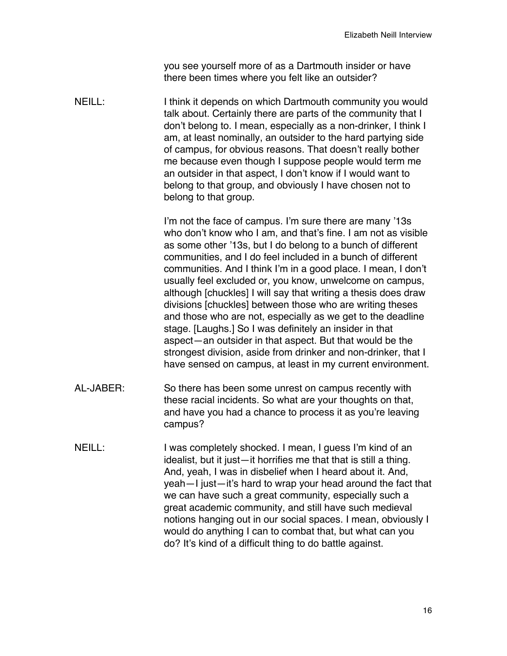you see yourself more of as a Dartmouth insider or have there been times where you felt like an outsider?

NEILL: I think it depends on which Dartmouth community you would talk about. Certainly there are parts of the community that I don't belong to. I mean, especially as a non-drinker, I think I am, at least nominally, an outsider to the hard partying side of campus, for obvious reasons. That doesn't really bother me because even though I suppose people would term me an outsider in that aspect, I don't know if I would want to belong to that group, and obviously I have chosen not to belong to that group.

> I'm not the face of campus. I'm sure there are many '13s who don't know who I am, and that's fine. I am not as visible as some other '13s, but I do belong to a bunch of different communities, and I do feel included in a bunch of different communities. And I think I'm in a good place. I mean, I don't usually feel excluded or, you know, unwelcome on campus, although [chuckles] I will say that writing a thesis does draw divisions [chuckles] between those who are writing theses and those who are not, especially as we get to the deadline stage. [Laughs.] So I was definitely an insider in that aspect—an outsider in that aspect. But that would be the strongest division, aside from drinker and non-drinker, that I have sensed on campus, at least in my current environment.

- AL-JABER: So there has been some unrest on campus recently with these racial incidents. So what are your thoughts on that, and have you had a chance to process it as you're leaving campus?
- NEILL: I was completely shocked. I mean, I quess I'm kind of an idealist, but it just—it horrifies me that that is still a thing. And, yeah, I was in disbelief when I heard about it. And, yeah—I just—it's hard to wrap your head around the fact that we can have such a great community, especially such a great academic community, and still have such medieval notions hanging out in our social spaces. I mean, obviously I would do anything I can to combat that, but what can you do? It's kind of a difficult thing to do battle against.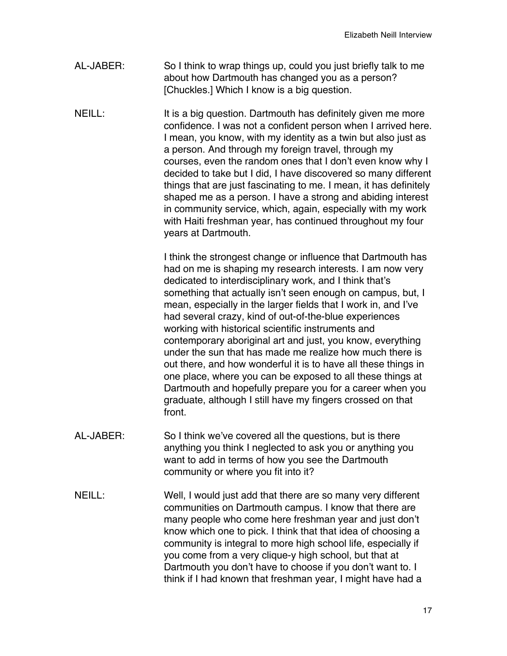- AL-JABER: So I think to wrap things up, could you just briefly talk to me about how Dartmouth has changed you as a person? [Chuckles.] Which I know is a big question.
- NEILL: It is a big question. Dartmouth has definitely given me more confidence. I was not a confident person when I arrived here. I mean, you know, with my identity as a twin but also just as a person. And through my foreign travel, through my courses, even the random ones that I don't even know why I decided to take but I did, I have discovered so many different things that are just fascinating to me. I mean, it has definitely shaped me as a person. I have a strong and abiding interest in community service, which, again, especially with my work with Haiti freshman year, has continued throughout my four years at Dartmouth.

I think the strongest change or influence that Dartmouth has had on me is shaping my research interests. I am now very dedicated to interdisciplinary work, and I think that's something that actually isn't seen enough on campus, but, I mean, especially in the larger fields that I work in, and I've had several crazy, kind of out-of-the-blue experiences working with historical scientific instruments and contemporary aboriginal art and just, you know, everything under the sun that has made me realize how much there is out there, and how wonderful it is to have all these things in one place, where you can be exposed to all these things at Dartmouth and hopefully prepare you for a career when you graduate, although I still have my fingers crossed on that front.

- AL-JABER: So I think we've covered all the questions, but is there anything you think I neglected to ask you or anything you want to add in terms of how you see the Dartmouth community or where you fit into it?
- NEILL: Well, I would just add that there are so many very different communities on Dartmouth campus. I know that there are many people who come here freshman year and just don't know which one to pick. I think that that idea of choosing a community is integral to more high school life, especially if you come from a very clique-y high school, but that at Dartmouth you don't have to choose if you don't want to. I think if I had known that freshman year, I might have had a